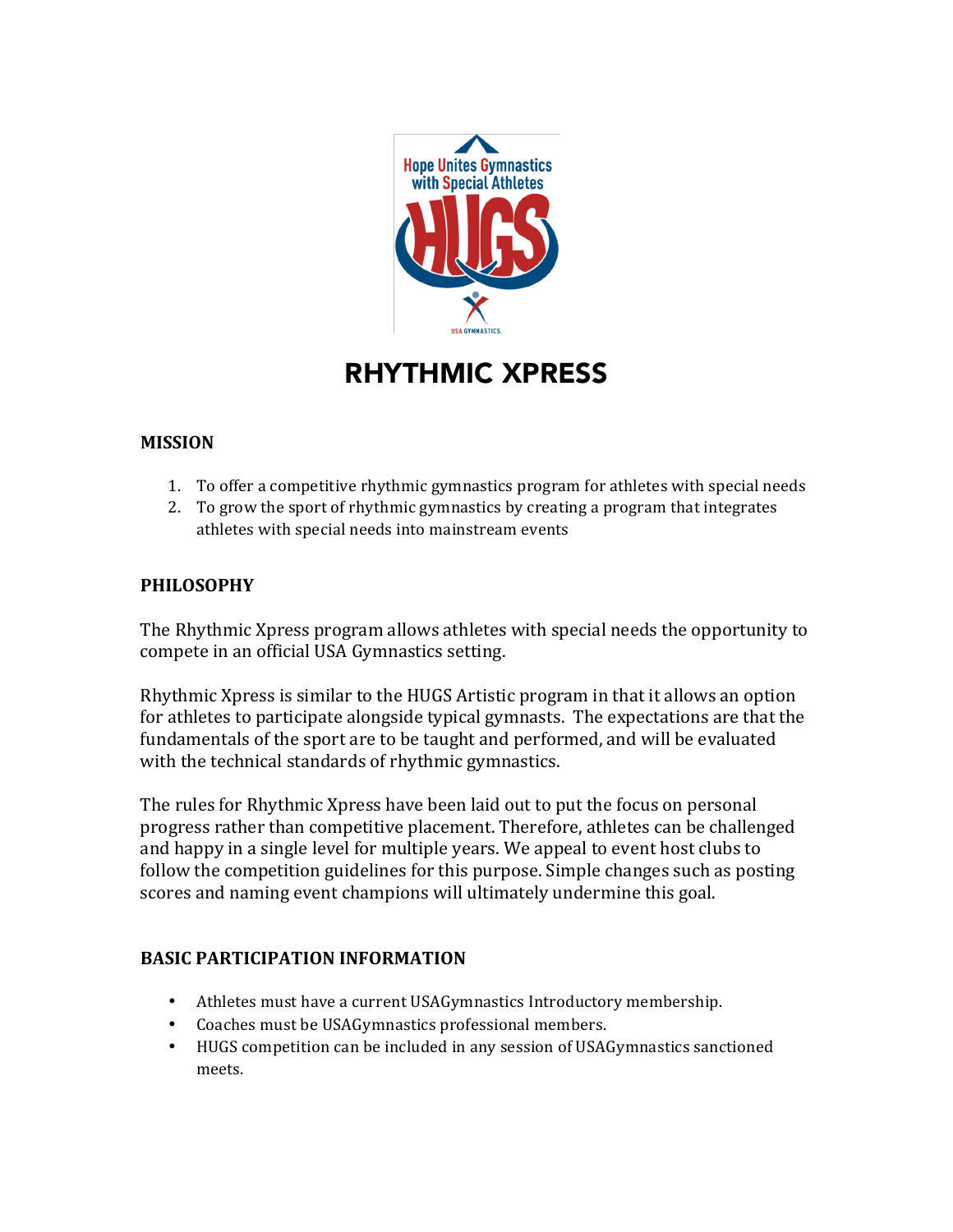

# RHYTHMIC XPRESS

## **MISSION**

- 1. To offer a competitive rhythmic gymnastics program for athletes with special needs
- 2. To grow the sport of rhythmic gymnastics by creating a program that integrates athletes with special needs into mainstream events

### **PHILOSOPHY**

The Rhythmic Xpress program allows athletes with special needs the opportunity to compete in an official USA Gymnastics setting.

Rhythmic Xpress is similar to the HUGS Artistic program in that it allows an option for athletes to participate alongside typical gymnasts. The expectations are that the fundamentals of the sport are to be taught and performed, and will be evaluated with the technical standards of rhythmic gymnastics.

The rules for Rhythmic Xpress have been laid out to put the focus on personal progress rather than competitive placement. Therefore, athletes can be challenged and happy in a single level for multiple years. We appeal to event host clubs to follow the competition guidelines for this purpose. Simple changes such as posting scores and naming event champions will ultimately undermine this goal.

#### **BASIC PARTICIPATION INFORMATION**

- Athletes must have a current USAGymnastics Introductory membership.
- Coaches must be USAGymnastics professional members.
- HUGS competition can be included in any session of USAGymnastics sanctioned meets.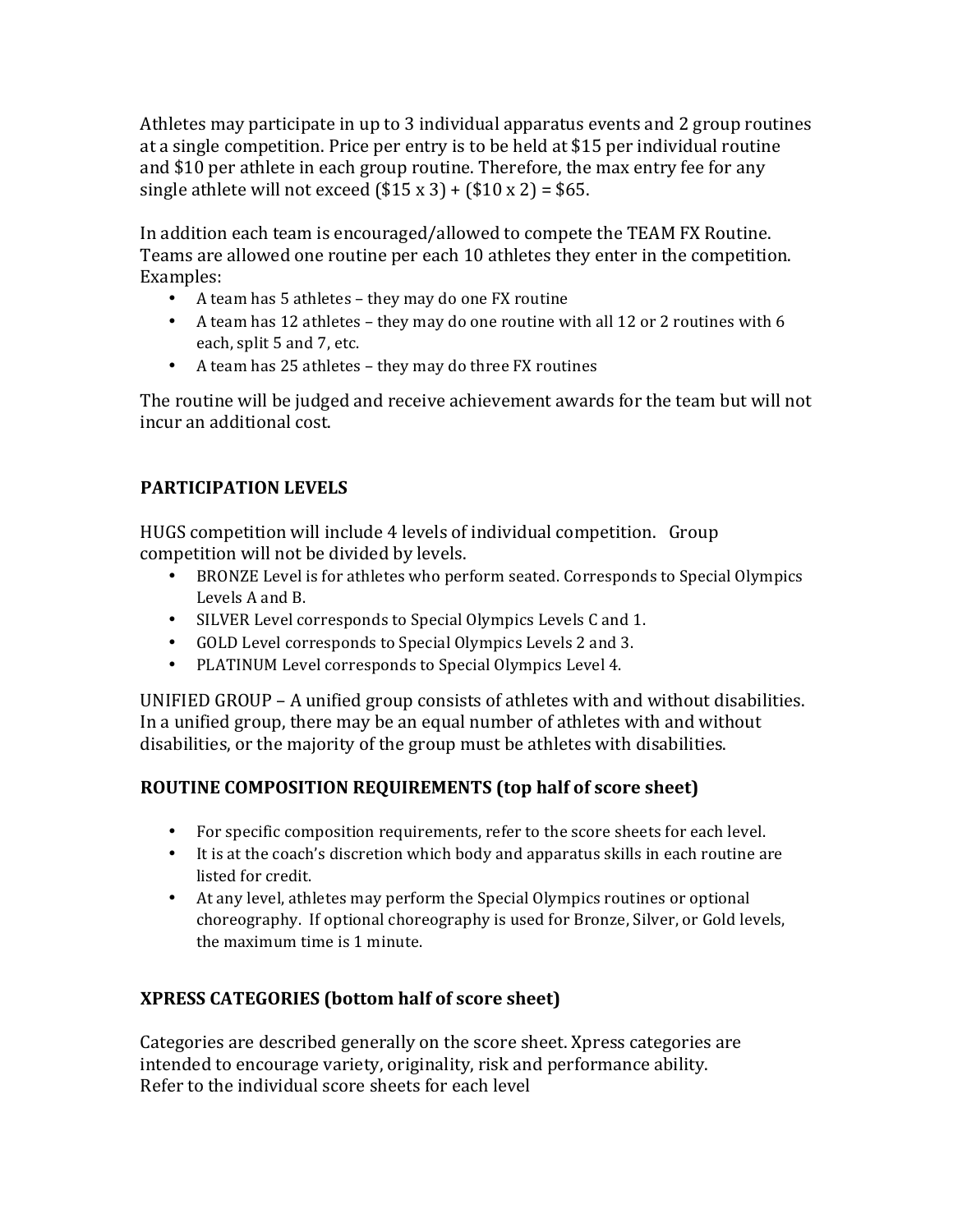Athletes may participate in up to 3 individual apparatus events and 2 group routines at a single competition. Price per entry is to be held at \$15 per individual routine and \$10 per athlete in each group routine. Therefore, the max entry fee for any single athlete will not exceed  $($15 \times 3) + ($10 \times 2) = $65$ .

In addition each team is encouraged/allowed to compete the TEAM FX Routine. Teams are allowed one routine per each 10 athletes they enter in the competition. Examples:

- A team has 5 athletes they may do one FX routine
- A team has 12 athletes they may do one routine with all 12 or 2 routines with 6 each, split 5 and 7, etc.
- A team has 25 athletes they may do three FX routines

The routine will be judged and receive achievement awards for the team but will not incur an additional cost.

# **PARTICIPATION LEVELS**

HUGS competition will include 4 levels of individual competition. Group competition will not be divided by levels.

- BRONZE Level is for athletes who perform seated. Corresponds to Special Olympics Levels A and B.
- SILVER Level corresponds to Special Olympics Levels C and 1.
- GOLD Level corresponds to Special Olympics Levels 2 and 3.
- PLATINUM Level corresponds to Special Olympics Level 4.

UNIFIED GROUP - A unified group consists of athletes with and without disabilities. In a unified group, there may be an equal number of athletes with and without disabilities, or the majority of the group must be athletes with disabilities.

# **ROUTINE COMPOSITION REQUIREMENTS (top half of score sheet)**

- For specific composition requirements, refer to the score sheets for each level.
- It is at the coach's discretion which body and apparatus skills in each routine are listed for credit.
- At any level, athletes may perform the Special Olympics routines or optional choreography. If optional choreography is used for Bronze, Silver, or Gold levels, the maximum time is 1 minute.

# **XPRESS CATEGORIES (bottom half of score sheet)**

Categories are described generally on the score sheet. Xpress categories are intended to encourage variety, originality, risk and performance ability. Refer to the individual score sheets for each level